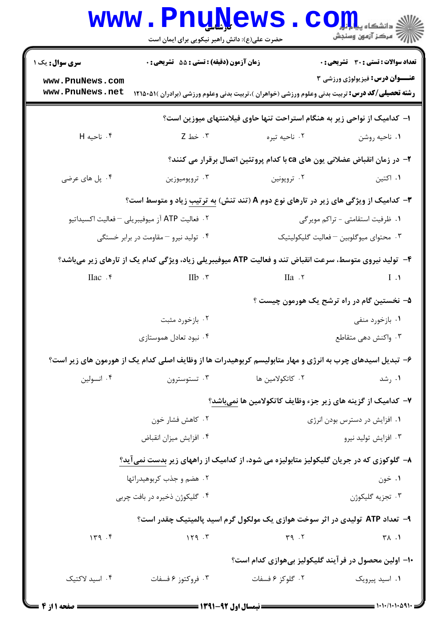|                                                                          | <b>www.PnuNews</b><br>حضرت علی(ع): دانش راهبر نیکویی برای ایمان است                                       |                                                                                                                | رِ ۖ مرڪز آزمون وسنڊش                        |  |  |
|--------------------------------------------------------------------------|-----------------------------------------------------------------------------------------------------------|----------------------------------------------------------------------------------------------------------------|----------------------------------------------|--|--|
| <b>سری سوال :</b> یک ۱                                                   | <b>زمان آزمون (دقیقه) : تستی : 55 تشریحی : 0</b>                                                          |                                                                                                                | <b>تعداد سوالات : تستي : 30 ٪ تشريحي : 0</b> |  |  |
| www.PnuNews.com<br>www.PnuNews.net                                       |                                                                                                           | <b>رشته تحصیلی/کد درس:</b> تربیت بدنی وعلوم ورزشی (خواهران )،تربیت بدنی وعلوم ورزشی (برادران )۵۱۵۰۵۱۱ <b>۱</b> | <b>عنـــوان درس:</b> فیزیولوژی ورزشی ۳       |  |  |
| ا– کدامیک از نواحی زیر به هنگام استراحت تنها حاوی فیلامنتهای میوزین است؟ |                                                                                                           |                                                                                                                |                                              |  |  |
| ۰۴ ناحیه H                                                               | ۰۳ خط Z                                                                                                   | ۰۲ ناحيه تيره                                                                                                  | ٠١ ناحيه روشن                                |  |  |
|                                                                          |                                                                                                           | ۲- در زمان انقباض عضلانی یون های ca با کدام پروتئین اتصال برقرار می کنند؟                                      |                                              |  |  |
| ۰۴ پل های عرضی                                                           | ۰۳ تروپوميوزين                                                                                            | ۰۲ تروپونین                                                                                                    | ۰۱ اکتین                                     |  |  |
|                                                                          | <b>۳</b> - کدامیک از ویژگی های زیر در تارهای نوع دوم A (تند تنش) به ترتیب زیاد و متوسط است؟               |                                                                                                                |                                              |  |  |
|                                                                          | ۰۲ فعالیت ATP آز میوفیبریلی <sup>—</sup> فعالیت اکسیداتیو                                                 |                                                                                                                | ۰۱ ظرفیت استقامتی - تراکم مویرگی             |  |  |
|                                                                          | ۰۴ تولید نیرو – مقاومت در برابر خستگی                                                                     |                                                                                                                | ۰۳ محتوای میوگلوبین –فعالیت گلیکولیتیک       |  |  |
|                                                                          | ۴- تولید نیروی متوسط، سرعت انقباض تند و فعالیت ATP میوفیبریلی زیاد، ویژگی کدام یک از تارهای زیر میباشد؟   |                                                                                                                |                                              |  |  |
| $IIac$ $.5$                                                              | $IIb$ . ۳                                                                                                 | ۲. IIa                                                                                                         | $I \cdot \mathcal{A}$                        |  |  |
|                                                                          |                                                                                                           |                                                                                                                | ۵– نخستین گام در راه ترشح یک هورمون چیست ؟   |  |  |
|                                                                          | ۰۲ بازخورد مثبت                                                                                           |                                                                                                                | ۰۱ بازخورد منفی                              |  |  |
|                                                                          | ۰۴ نبود تعادل هموستازي                                                                                    |                                                                                                                | ۰۳ واکنش دهی متقاطع                          |  |  |
|                                                                          | ۶– تبدیل اسیدهای چرب به انرژی و مهار متابولیسم کربوهیدرات ها از وظایف اصلی کدام یک از هورمون های زیر است؟ |                                                                                                                |                                              |  |  |
| ۰۴ انسولین                                                               | تستوسترون $\cdot$ ۳                                                                                       | ۰۲ کاتکولامین ها                                                                                               | ۰۱ رشد                                       |  |  |
|                                                                          |                                                                                                           | ۷– کدامیک از گزینه های زیر جزء وظایف کاتکولامین ها نمیباشد؟                                                    |                                              |  |  |
|                                                                          | ۰۲ کاهش فشار خون                                                                                          |                                                                                                                | ۰۱ افزایش در دسترس بودن انرژی                |  |  |
|                                                                          | ۰۴ افزایش میزان انقباض                                                                                    |                                                                                                                | ۰۳ افزايش توليد نيرو                         |  |  |
|                                                                          | ۸– گلوکوزی که در جریان گلیکولیز متابولیزه می شود، از کدامیک از راههای زیر بدست نمیآید؟                    |                                                                                                                |                                              |  |  |
|                                                                          | ۰۲ هضم و جذب کربوهیدراتها                                                                                 |                                                                                                                | ۰۱ خون                                       |  |  |
|                                                                          | ۰۴ گلیکوژن ذخیره در بافت چربی                                                                             |                                                                                                                | ۰۳ تجزیه گلیکوژن                             |  |  |
|                                                                          |                                                                                                           | ۹–  تعداد ATP  تولیدی در اثر سوخت هوازی یک مولکول گرم اسید پالمیتیک چقدر است؟                                  |                                              |  |  |
| 149.5                                                                    | 159.5                                                                                                     | Y9.7                                                                                                           | $\uparrow \wedge$ .1                         |  |  |
|                                                                          | ۱۰– اولین محصول در فرآیند گلیکولیز بیهوازی کدام است؟                                                      |                                                                                                                |                                              |  |  |
| ۰۴ اسید لاکتیک                                                           | ۰۳ فروکتوز ۶ فسفات                                                                                        | ۰۲ گلوکز ۶ فسفات                                                                                               | ۰۱ اسید پیرویک                               |  |  |
|                                                                          |                                                                                                           |                                                                                                                |                                              |  |  |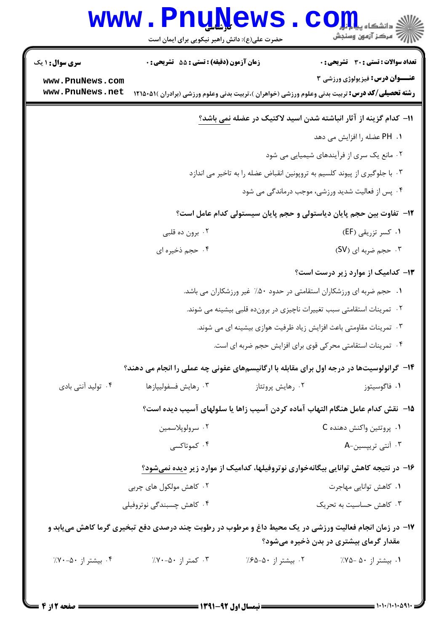|                                    | www.PnuNews                                                                |                    | الی دانشکاه پیا برای استفاده با استفاده با تاریخ<br>اینچ مرکز آزمون وسنجش                                                                        |  |  |
|------------------------------------|----------------------------------------------------------------------------|--------------------|--------------------------------------------------------------------------------------------------------------------------------------------------|--|--|
|                                    | حضرت علی(ع): دانش راهبر نیکویی برای ایمان است                              |                    |                                                                                                                                                  |  |  |
| <b>سری سوال : ۱ یک</b>             | زمان آزمون (دقیقه) : تستی : 55 آتشریحی : 0                                 |                    | تعداد سوالات : تستي : 30 - تشريحي : 0                                                                                                            |  |  |
| www.PnuNews.com<br>www.PnuNews.net |                                                                            |                    | عنــوان درس: فیزیولوژی ورزشی ۳<br><b>رشته تحصیلی/کد درس:</b> تربیت بدنی وعلوم ورزشی (خواهران )،تربیت بدنی وعلوم ورزشی (برادران )۵۱۵۰۵۱۱ <b>۱</b> |  |  |
|                                    |                                                                            |                    | ۱۱− کدام گزینه از آثار انباشته شدن اسید لاکتیک در عضله <u>نمی</u> باشد؟                                                                          |  |  |
|                                    |                                                                            |                    | ۰۱. PH عضله را افزایش می دهد                                                                                                                     |  |  |
|                                    |                                                                            |                    | ۰۲ مانع یک سری از فرآیندهای شیمیایی می شود                                                                                                       |  |  |
|                                    | ۰۳ با جلوگیری از پیوند کلسیم به تروپونین انقباض عضله را به تاخیر می اندازد |                    |                                                                                                                                                  |  |  |
|                                    |                                                                            |                    | ۰۴ پس از فعالیت شدید ورزشی، موجب درماندگی می شود                                                                                                 |  |  |
|                                    |                                                                            |                    | 1۲– تفاوت بین حجم پایان دیاستولی و حجم پایان سیستولی کدام عامل است؟                                                                              |  |  |
|                                    | ۰۲ برون ده قلبی                                                            |                    | ۰۱ کسر تزریقی (EF)                                                                                                                               |  |  |
|                                    | ۰۴ حجم ذخيره اي                                                            |                    | ۰۳ حجم ضربه ای (SV)                                                                                                                              |  |  |
|                                    |                                                                            |                    | ۱۳- کدامیک از موارد زیر درست است؟                                                                                                                |  |  |
|                                    | ۰۱ حجم ضربه ای ورزشکاران استقامتی در حدود ۵۰٪ غیر ورزشکاران می باشد.       |                    |                                                                                                                                                  |  |  |
|                                    | ۰۲ تمرینات استقامتی سبب تغییرات ناچیزی در برونده قلبی بیشینه می شوند.      |                    |                                                                                                                                                  |  |  |
|                                    | ۰۳ تمرینات مقاومتی باعث افزایش زیاد ظرفیت هوازی بیشینه ای می شوند.         |                    |                                                                                                                                                  |  |  |
|                                    | ۰۴ تمرینات استقامتی محرکی قوی برای افزایش حجم ضربه ای است.                 |                    |                                                                                                                                                  |  |  |
|                                    |                                                                            |                    | ۱۴- گرانولوسیتها در درجه اول برای مقابله با ارگانیسمهای عفونی چه عملی را انجام می دهند؟                                                          |  |  |
| ۰۴ تولید آنتی بادی                 | ۰۳ رهايش فسفوليپازها                                                       | ۰۲ رهایش پروتئاز   | ۰۱ فاگوسیتوز                                                                                                                                     |  |  |
|                                    |                                                                            |                    | ۱۵− ً نقش كدام عامل هنگام التهاب آماده كردن آسيب زاها يا سلولهاي آسيب ديده است؟                                                                  |  |  |
|                                    | ۰۲ سرولوپلاسمين                                                            |                    | ۰۱ پروتئين واكنش دهنده C                                                                                                                         |  |  |
|                                    | ۰۴ کموتاکسی                                                                |                    | ۰۳ آنتی تریپسین-A                                                                                                                                |  |  |
|                                    |                                                                            |                    | ۱۶– در نتیجه کاهش توانایی بیگانهخواری نوتروفیلها، کدامیک از موارد زیر دیده نمیشود؟                                                               |  |  |
|                                    | ۰۲ کاهش مولکول های چربی                                                    |                    | ٠١. كاهش توانايي مهاجرت                                                                                                                          |  |  |
|                                    | ۰۴ کاهش چسبندگی نوتروفیلی                                                  |                    | ۰۳ کاهش حساسیت به تحریک                                                                                                                          |  |  |
|                                    |                                                                            |                    | ۱۷- در زمان انجام فعالیت ورزشی در یک محیط داغ و مرطوب در رطوبت چند درصدی دفع تبخیری گرما کاهش مییابد و<br>مقدار گرمای بیشتری در بدن ذخیره میشود؟ |  |  |
| ۰۴ بیشتر از ۵۰-۷۰٪                 | ۰۳ کمتر از ۵۰–۷۰٪                                                          | ۰۲ بیشتر از ۵۰–۶۵٪ | ۰۱ بیشتر از ۵۰ -۷۵٪                                                                                                                              |  |  |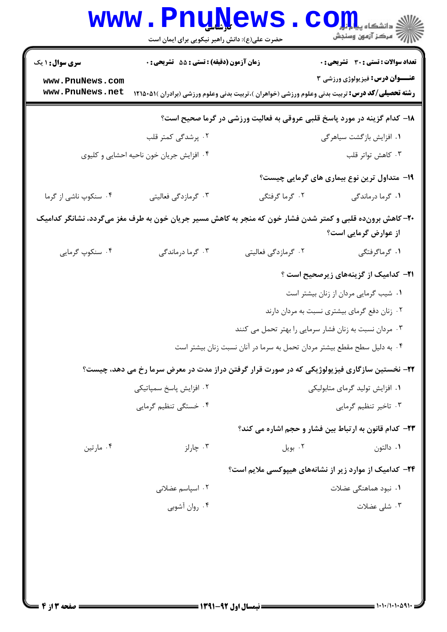|                                                                          | <b>www.PnuNews</b><br>حضرت علی(ع): دانش راهبر نیکویی برای ایمان است |                     | الا دانشکاه پیام <del>لو</del><br>الله مرکز آزمون وسنجش                                                                                                  |  |
|--------------------------------------------------------------------------|---------------------------------------------------------------------|---------------------|----------------------------------------------------------------------------------------------------------------------------------------------------------|--|
| <b>سری سوال : ۱ یک</b>                                                   | زمان آزمون (دقیقه) : تستی : 55 تشریحی : 0                           |                     | <b>تعداد سوالات : تستی : 30 ٪ تشریحی : 0</b>                                                                                                             |  |
| www.PnuNews.com<br>www.PnuNews.net                                       |                                                                     |                     | <b>عنـــوان درس:</b> فیزیولوژی ورزشی ۳<br><b>رشته تحصیلی/کد درس:</b> تربیت بدنی وعلوم ورزشی (خواهران )،تربیت بدنی وعلوم ورزشی (برادران )۵۱۵۰۵۱۱ <b>۱</b> |  |
| ۱۸– کدام گزینه در مورد پاسخ قلبی عروقی به فعالیت ورزشی در گرما صحیح است؟ |                                                                     |                     |                                                                                                                                                          |  |
|                                                                          | ۰۲ پرشدگی کمتر قلب                                                  |                     | ۰۱ افزایش بازگشت سیاهرگی                                                                                                                                 |  |
|                                                                          | ۰۴ افزایش جریان خون ناحیه احشایی و کلیوی                            |                     | ۰۳ کاهش تواتر قلب                                                                                                                                        |  |
|                                                                          |                                                                     |                     | ۱۹- متداول ترین نوع بیماری های گرمایی چیست؟                                                                                                              |  |
| ۰۴ سنکوپ ناشی از گرما                                                    | ۰۳ گرمازدگی فعالیتی                                                 | ۰۲ گرما گرفتگی      | ۰۱ گرما درماندگی                                                                                                                                         |  |
|                                                                          |                                                                     |                     | ۲۰– کاهش برونده قلبی و کمتر شدن فشار خون که منجر به کاهش مسیر جریان خون به طرف مغز میگردد، نشانگر کدامیک<br>از عوارض گرمایی است؟                         |  |
| ۰۴ سنکوپ گرمایی                                                          | ۰۳ گرما درماندگی                                                    | ۰۲ گرمازدگی فعالیتی | ۰۱ گرماگرفتگی                                                                                                                                            |  |
|                                                                          |                                                                     |                     | <b>۲۱</b> – کدامیک از گزینههای زیرصحیح است ؟                                                                                                             |  |
|                                                                          |                                                                     |                     | ٠١ شيب گرمايي مردان از زنان بيشتر است                                                                                                                    |  |
|                                                                          |                                                                     |                     | ۰۲ زنان دفع گرمای بیشتری نسبت به مردان دارند                                                                                                             |  |
|                                                                          |                                                                     |                     | ۰۳ مردان نسبت به زنان فشار سرمایی را بهتر تحمل می کنند                                                                                                   |  |
|                                                                          |                                                                     |                     | ۰۴ به دلیل سطح مقطع بیشتر مردان تحمل به سرما در آنان نسبت زنان بیشتر است                                                                                 |  |
|                                                                          |                                                                     |                     | ۲۲- نخستین سازگاری فیزیولوژیکی که در صورت قرار گرفتن دراز مدت در معرض سرما رخ می دهد، چیست؟                                                              |  |
|                                                                          | ۰۲ افزایش پاسخ سمپاتیکی                                             |                     | ٠١ افزايش توليد گرماي متابوليكي                                                                                                                          |  |
|                                                                          | ۰۴ خستگی تنظیم گرمایی                                               |                     | ۰۳ تاخیر تنظیم گرمایی                                                                                                                                    |  |
|                                                                          |                                                                     |                     | ٢٣- كدام قانون به ارتباط بين فشار و حجم اشاره مي كند؟                                                                                                    |  |
| ۰۴ مارتين                                                                | ۰۳ چارلز                                                            | ۰۲ بویل             | ۰۱ دالتون                                                                                                                                                |  |
|                                                                          |                                                                     |                     | <b>۲۴</b> - کدامیک از موارد زیر از نشانههای هیپوکسی ملایم است؟                                                                                           |  |
|                                                                          | ۰۲ اسپاسم عضلانی                                                    |                     | ۰۱ نبود هماهنگی عضلات                                                                                                                                    |  |
|                                                                          | ۰۴ روان آشوبی                                                       |                     | ۰۳ شلی عضلات                                                                                                                                             |  |
|                                                                          |                                                                     |                     |                                                                                                                                                          |  |